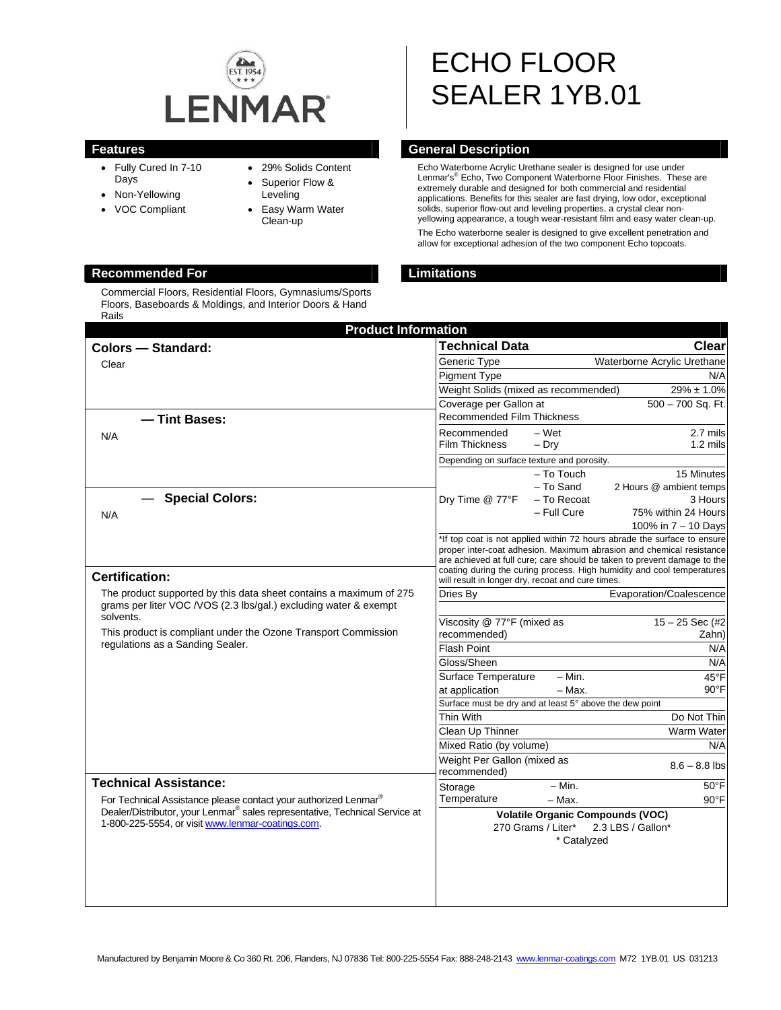

- Fully Cured In 7-10 Days
- Non-Yellowing
- VOC Compliant
- 29% Solids Content
- Superior Flow & Leveling
- Easy Warm Water Clean-up

### **Recommended For Limitations**

Commercial Floors, Residential Floors, Gymnasiums/Sports Floors, Baseboards & Moldings, and Interior Doors & Hand Rails

# ECHO FLOOR SEALER 1YB.01

### **Features General Description Ceneral Description**

Echo Waterborne Acrylic Urethane sealer is designed for use under Lenmar's<sup>®</sup> Echo, Two Component Waterborne Floor Finishes. These are extremely durable and designed for both commercial and residential applications. Benefits for this sealer are fast drying, low odor, exceptional solids, superior flow-out and leveling properties, a crystal clear nonyellowing appearance, a tough wear-resistant film and easy water clean-up. The Echo waterborne sealer is designed to give excellent penetration and

allow for exceptional adhesion of the two component Echo topcoats.

| <b>Product Information</b>                                                              |                                                                                                                                                  |             |                                                                          |
|-----------------------------------------------------------------------------------------|--------------------------------------------------------------------------------------------------------------------------------------------------|-------------|--------------------------------------------------------------------------|
| <b>Colors - Standard:</b>                                                               | <b>Technical Data</b>                                                                                                                            |             | <b>Clear</b>                                                             |
| Clear                                                                                   | Generic Type                                                                                                                                     |             | Waterborne Acrylic Urethane                                              |
|                                                                                         | <b>Pigment Type</b>                                                                                                                              |             | N/A                                                                      |
|                                                                                         | Weight Solids (mixed as recommended)                                                                                                             |             | $29\% \pm 1.0\%$                                                         |
|                                                                                         | Coverage per Gallon at                                                                                                                           |             | 500 - 700 Sq. Ft.                                                        |
| - Tint Bases:                                                                           | <b>Recommended Film Thickness</b>                                                                                                                |             |                                                                          |
| N/A                                                                                     | Recommended                                                                                                                                      | – Wet       | 2.7 mils                                                                 |
|                                                                                         | <b>Film Thickness</b>                                                                                                                            | $-$ Dry     | 1.2 mils                                                                 |
|                                                                                         | Depending on surface texture and porosity.                                                                                                       |             |                                                                          |
|                                                                                         |                                                                                                                                                  | - To Touch  | 15 Minutes                                                               |
| <b>Special Colors:</b>                                                                  |                                                                                                                                                  | - To Sand   | 2 Hours @ ambient temps                                                  |
|                                                                                         | Dry Time @ 77°F                                                                                                                                  | - To Recoat | 3 Hours                                                                  |
| N/A                                                                                     |                                                                                                                                                  | - Full Cure | 75% within 24 Hours                                                      |
|                                                                                         |                                                                                                                                                  |             | 100% in 7 – 10 Days                                                      |
|                                                                                         | *If top coat is not applied within 72 hours abrade the surface to ensure<br>proper inter-coat adhesion. Maximum abrasion and chemical resistance |             |                                                                          |
|                                                                                         |                                                                                                                                                  |             | are achieved at full cure; care should be taken to prevent damage to the |
| <b>Certification:</b>                                                                   | coating during the curing process. High humidity and cool temperatures<br>will result in longer dry, recoat and cure times.                      |             |                                                                          |
| The product supported by this data sheet contains a maximum of 275                      | Dries By                                                                                                                                         |             | Evaporation/Coalescence                                                  |
| grams per liter VOC /VOS (2.3 lbs/gal.) excluding water & exempt                        |                                                                                                                                                  |             |                                                                          |
| solvents.                                                                               | Viscosity @ 77°F (mixed as                                                                                                                       |             | $15 - 25$ Sec (#2)                                                       |
| This product is compliant under the Ozone Transport Commission                          | recommended)                                                                                                                                     |             | Zahn)                                                                    |
| regulations as a Sanding Sealer.                                                        | Flash Point                                                                                                                                      |             | N/A                                                                      |
|                                                                                         | Gloss/Sheen                                                                                                                                      |             | N/A                                                                      |
|                                                                                         | Surface Temperature                                                                                                                              | $- Min.$    | 45°F                                                                     |
|                                                                                         | - Max.<br>at application                                                                                                                         |             | $90^{\circ}$ F                                                           |
|                                                                                         | Surface must be dry and at least 5° above the dew point                                                                                          |             |                                                                          |
|                                                                                         | Thin With                                                                                                                                        |             | Do Not Thin                                                              |
|                                                                                         | Clean Up Thinner                                                                                                                                 |             | Warm Water                                                               |
|                                                                                         | Mixed Ratio (by volume)<br>N/A<br>Weight Per Gallon (mixed as                                                                                    |             |                                                                          |
|                                                                                         | recommended)                                                                                                                                     |             | $8.6 - 8.8$ lbs                                                          |
| <b>Technical Assistance:</b>                                                            | Storage                                                                                                                                          | $- Min.$    | $50^{\circ}$ F                                                           |
| For Technical Assistance please contact your authorized Lenmar®                         | Temperature                                                                                                                                      | $-$ Max.    | $90^{\circ}$ F                                                           |
| Dealer/Distributor, your Lenmar <sup>®</sup> sales representative, Technical Service at |                                                                                                                                                  |             | <b>Volatile Organic Compounds (VOC)</b>                                  |
| 1-800-225-5554, or visit www.lenmar-coatings.com.                                       | 2.3 LBS / Gallon*<br>270 Grams / Liter*                                                                                                          |             |                                                                          |
|                                                                                         | * Catalyzed                                                                                                                                      |             |                                                                          |
|                                                                                         |                                                                                                                                                  |             |                                                                          |
|                                                                                         |                                                                                                                                                  |             |                                                                          |
|                                                                                         |                                                                                                                                                  |             |                                                                          |
|                                                                                         |                                                                                                                                                  |             |                                                                          |